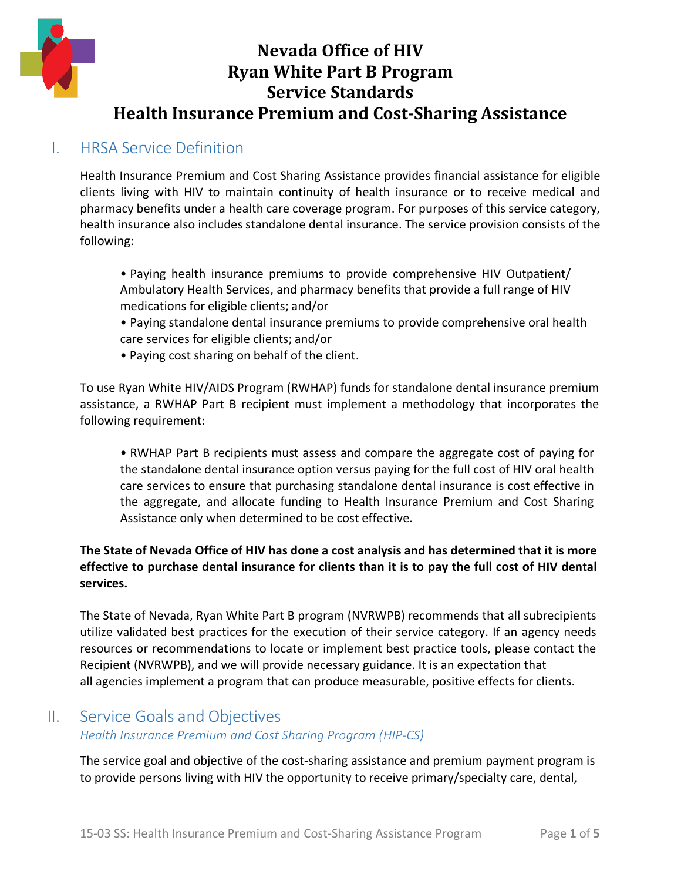

## I. HRSA Service Definition

Health Insurance Premium and Cost Sharing Assistance provides financial assistance for eligible clients living with HIV to maintain continuity of health insurance or to receive medical and pharmacy benefits under a health care coverage program. For purposes of this service category, health insurance also includes standalone dental insurance. The service provision consists of the following:

- Paying health insurance premiums to provide comprehensive HIV Outpatient/ Ambulatory Health Services, and pharmacy benefits that provide a full range of HIV medications for eligible clients; and/or
- Paying standalone dental insurance premiums to provide comprehensive oral health care services for eligible clients; and/or
- Paying cost sharing on behalf of the client.

To use Ryan White HIV/AIDS Program (RWHAP) funds for standalone dental insurance premium assistance, a RWHAP Part B recipient must implement a methodology that incorporates the following requirement:

• RWHAP Part B recipients must assess and compare the aggregate cost of paying for the standalone dental insurance option versus paying for the full cost of HIV oral health care services to ensure that purchasing standalone dental insurance is cost effective in the aggregate, and allocate funding to Health Insurance Premium and Cost Sharing Assistance only when determined to be cost effective.

#### **The State of Nevada Office of HIV has done a cost analysis and has determined that it is more effective to purchase dental insurance for clients than it is to pay the full cost of HIV dental services.**

The State of Nevada, Ryan White Part B program (NVRWPB) recommends that all subrecipients utilize validated best practices for the execution of their service category. If an agency needs resources or recommendations to locate or implement best practice tools, please contact the Recipient (NVRWPB), and we will provide necessary guidance. It is an expectation that all agencies implement a program that can produce measurable, positive effects for clients.

### II. Service Goals and Objectives

#### *Health Insurance Premium and Cost Sharing Program (HIP-CS)*

The service goal and objective of the cost-sharing assistance and premium payment program is to provide persons living with HIV the opportunity to receive primary/specialty care, dental,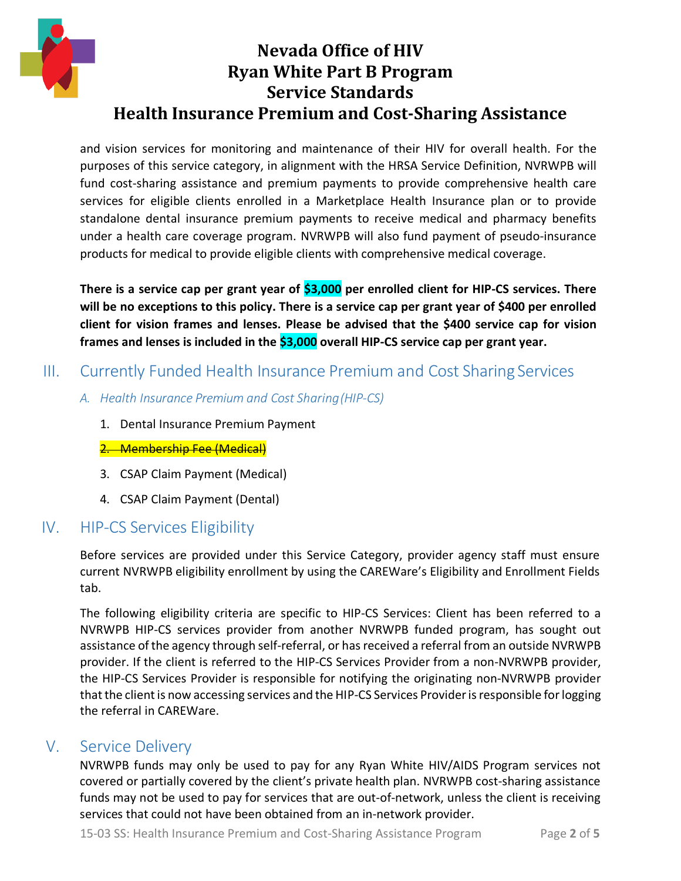

and vision services for monitoring and maintenance of their HIV for overall health. For the purposes of this service category, in alignment with the HRSA Service Definition, NVRWPB will fund cost-sharing assistance and premium payments to provide comprehensive health care services for eligible clients enrolled in a Marketplace Health Insurance plan or to provide standalone dental insurance premium payments to receive medical and pharmacy benefits under a health care coverage program. NVRWPB will also fund payment of pseudo-insurance products for medical to provide eligible clients with comprehensive medical coverage.

**There is a service cap per grant year of \$3,000 per enrolled client for HIP-CS services. There will be no exceptions to this policy. There is a service cap per grant year of \$400 per enrolled client for vision frames and lenses. Please be advised that the \$400 service cap for vision frames and lenses is included in the \$3,000 overall HIP-CS service cap per grant year.**

### III. Currently Funded Health Insurance Premium and Cost Sharing Services

- *A. Health Insurance Premium and Cost Sharing(HIP-CS)*
	- 1. Dental Insurance Premium Payment
	- 2. Membership Fee (Medical)
	- 3. CSAP Claim Payment (Medical)
	- 4. CSAP Claim Payment (Dental)

## IV. HIP-CS Services Eligibility

Before services are provided under this Service Category, provider agency staff must ensure current NVRWPB eligibility enrollment by using the CAREWare's Eligibility and Enrollment Fields tab.

The following eligibility criteria are specific to HIP-CS Services: Client has been referred to a NVRWPB HIP-CS services provider from another NVRWPB funded program, has sought out assistance of the agency through self-referral, or has received a referral from an outside NVRWPB provider. If the client is referred to the HIP-CS Services Provider from a non-NVRWPB provider, the HIP-CS Services Provider is responsible for notifying the originating non-NVRWPB provider that the client is now accessing services and the HIP-CS Services Provider is responsible for logging the referral in CAREWare.

## V. Service Delivery

NVRWPB funds may only be used to pay for any Ryan White HIV/AIDS Program services not covered or partially covered by the client's private health plan. NVRWPB cost-sharing assistance funds may not be used to pay for services that are out-of-network, unless the client is receiving services that could not have been obtained from an in-network provider.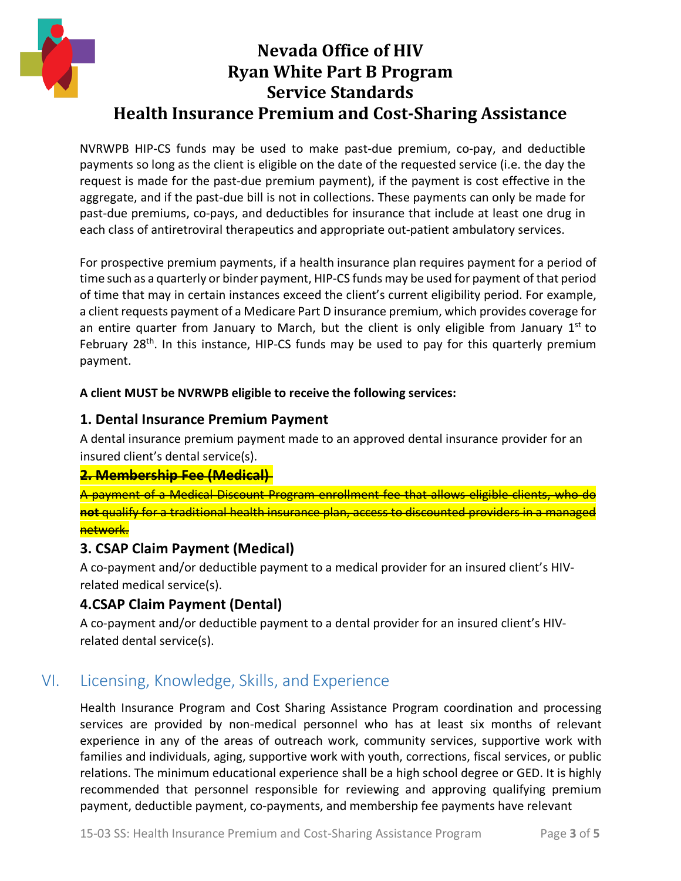

NVRWPB HIP-CS funds may be used to make past-due premium, co-pay, and deductible payments so long as the client is eligible on the date of the requested service (i.e. the day the request is made for the past-due premium payment), if the payment is cost effective in the aggregate, and if the past-due bill is not in collections. These payments can only be made for past-due premiums, co-pays, and deductibles for insurance that include at least one drug in each class of antiretroviral therapeutics and appropriate out-patient ambulatory services.

For prospective premium payments, if a health insurance plan requires payment for a period of time such as a quarterly or binder payment, HIP-CS funds may be used for payment of that period of time that may in certain instances exceed the client's current eligibility period. For example, a client requests payment of a Medicare Part D insurance premium, which provides coverage for an entire quarter from January to March, but the client is only eligible from January  $1^{st}$  to February 28<sup>th</sup>. In this instance, HIP-CS funds may be used to pay for this quarterly premium payment.

#### **A client MUST be NVRWPB eligible to receive the following services:**

#### **1. Dental Insurance Premium Payment**

A dental insurance premium payment made to an approved dental insurance provider for an insured client's dental service(s).

#### **2. Membership Fee (Medical)**

A payment of a Medical Discount Program enrollment fee that allows eligible clients, who do **not** qualify for a traditional health insurance plan, access to discounted providers in a managed network.

#### **3. CSAP Claim Payment (Medical)**

A co-payment and/or deductible payment to a medical provider for an insured client's HIVrelated medical service(s).

### **4.CSAP Claim Payment (Dental)**

A co-payment and/or deductible payment to a dental provider for an insured client's HIVrelated dental service(s).

## VI. Licensing, Knowledge, Skills, and Experience

Health Insurance Program and Cost Sharing Assistance Program coordination and processing services are provided by non-medical personnel who has at least six months of relevant experience in any of the areas of outreach work, community services, supportive work with families and individuals, aging, supportive work with youth, corrections, fiscal services, or public relations. The minimum educational experience shall be a high school degree or GED. It is highly recommended that personnel responsible for reviewing and approving qualifying premium payment, deductible payment, co-payments, and membership fee payments have relevant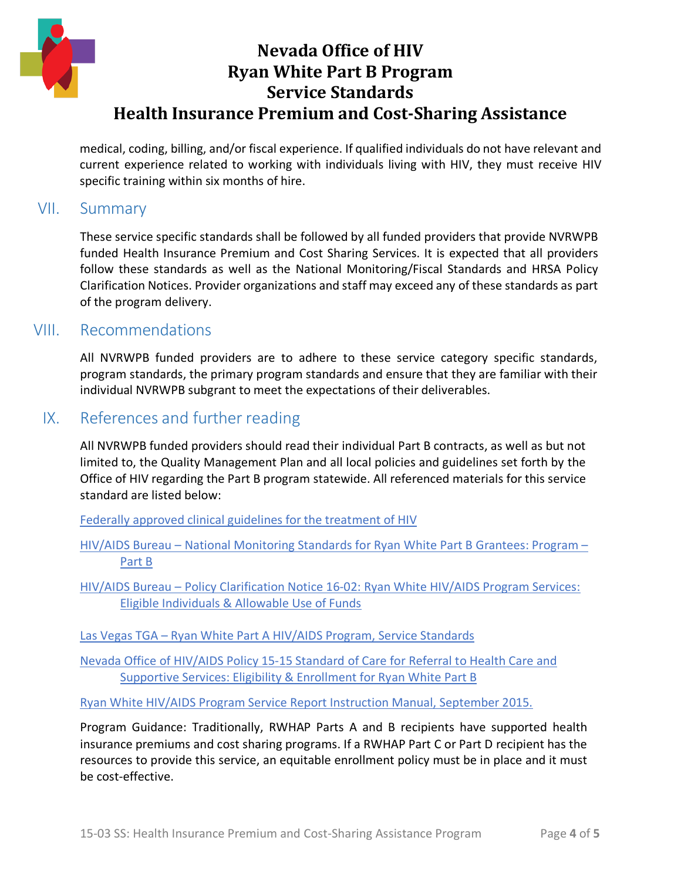

medical, coding, billing, and/or fiscal experience. If qualified individuals do not have relevant and current experience related to working with individuals living with HIV, they must receive HIV specific training within six months of hire.

#### VII. Summary

These service specific standards shall be followed by all funded providers that provide NVRWPB funded Health Insurance Premium and Cost Sharing Services. It is expected that all providers follow these standards as well as the National Monitoring/Fiscal Standards and HRSA Policy Clarification Notices. Provider organizations and staff may exceed any of these standards as part of the program delivery.

### VIII. Recommendations

All NVRWPB funded providers are to adhere to these service category specific standards, program standards, the primary program standards and ensure that they are familiar with their individual NVRWPB subgrant to meet the expectations of their deliverables.

### IX. References and further reading

All NVRWPB funded providers should read their individual Part B contracts, as well as but not limited to, the Quality Management Plan and all local policies and guidelines set forth by the Office of HIV regarding the Part B program statewide. All referenced materials for this service standard are listed below:

[Federally approved clinical guidelines for the treatment of HIV](https://aidsinfo.nih.gov/guidelines)

HIV/AIDS Bureau – National Monitoring Standards [for Ryan White Part B Grantees: Program –](https://hab.hrsa.gov/sites/default/files/hab/Global/programmonitoringpartb.pdf) [Part B](https://hab.hrsa.gov/sites/default/files/hab/Global/programmonitoringpartb.pdf)

HIV/AIDS Bureau – [Policy Clarification Notice 16-02: Ryan White HIV/AIDS Program Services:](https://hab.hrsa.gov/sites/default/files/hab/program-grants-management/ServiceCategoryPCN_16-02Final.pdf) [Eligible Individuals & Allowable Use of Funds](https://hab.hrsa.gov/sites/default/files/hab/program-grants-management/ServiceCategoryPCN_16-02Final.pdf)

Las Vegas TGA – [Ryan White Part A HIV/AIDS Program, Service Standards](http://lasvegastga.com/wp-content/uploads/2018/07/0.-Universal-Service-Standards.pdf)

[Nevada Office of HIV/AIDS Policy 15-15 Standard of Care for Referral to Health Care and](http://endhivnevada.org/wp-content/uploads/2019/05/15-15-SS-Referral-to-Health-Care-and-Supportive-Services.pdf) [Supportive Services: Eligibility & Enrollment for Ryan White Part B](http://endhivnevada.org/wp-content/uploads/2019/05/15-15-SS-Referral-to-Health-Care-and-Supportive-Services.pdf)

[Ryan White HIV/AIDS Program Service Report Instruction Manual, September 2015.](https://careacttarget.org/sites/default/files/file-upload/resources/2015%20RSR%20Manual%20091215-508.pdf)

Program Guidance: Traditionally, RWHAP Parts A and B recipients have supported health insurance premiums and cost sharing programs. If a RWHAP Part C or Part D recipient has the resources to provide this service, an equitable enrollment policy must be in place and it must be cost-effective.